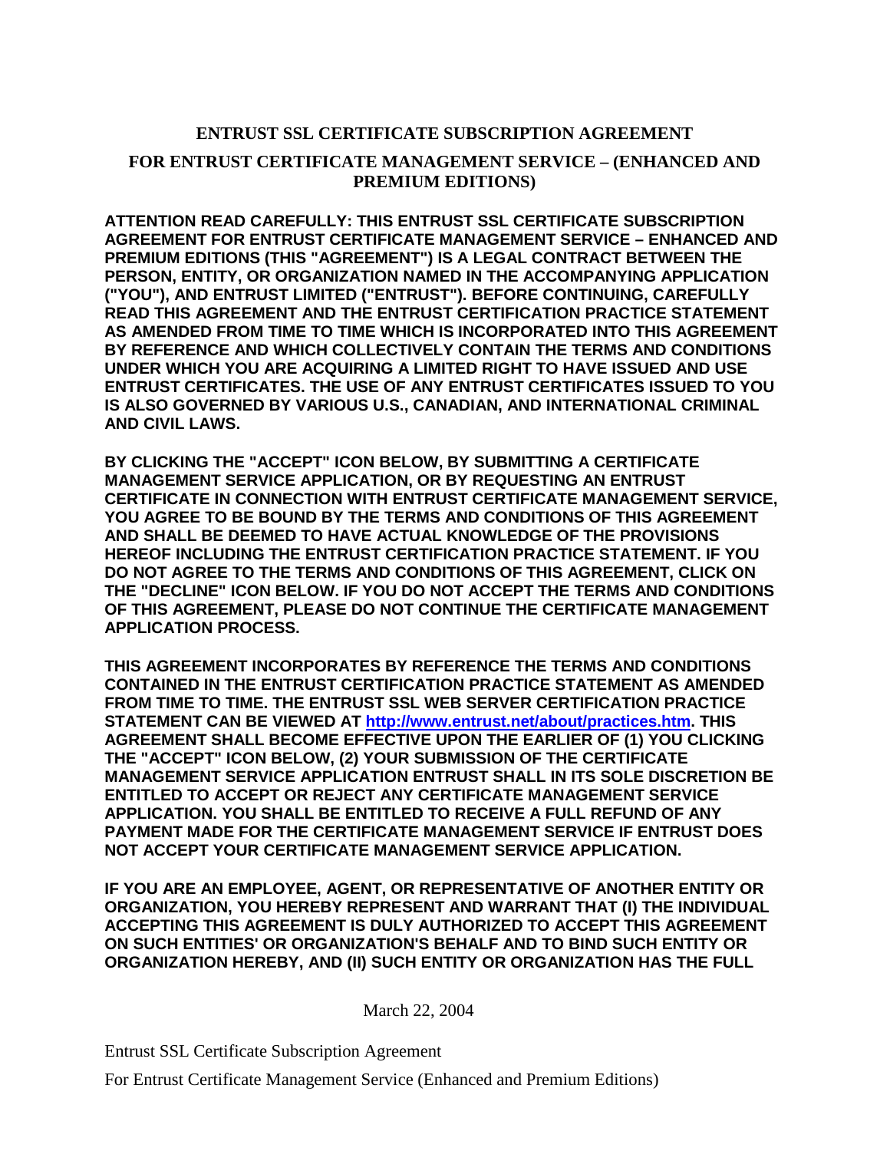## **ENTRUST SSL CERTIFICATE SUBSCRIPTION AGREEMENT**

## **FOR ENTRUST CERTIFICATE MANAGEMENT SERVICE – (ENHANCED AND PREMIUM EDITIONS)**

**ATTENTION READ CAREFULLY: THIS ENTRUST SSL CERTIFICATE SUBSCRIPTION AGREEMENT FOR ENTRUST CERTIFICATE MANAGEMENT SERVICE – ENHANCED AND PREMIUM EDITIONS (THIS "AGREEMENT") IS A LEGAL CONTRACT BETWEEN THE PERSON, ENTITY, OR ORGANIZATION NAMED IN THE ACCOMPANYING APPLICATION ("YOU"), AND ENTRUST LIMITED ("ENTRUST"). BEFORE CONTINUING, CAREFULLY READ THIS AGREEMENT AND THE ENTRUST CERTIFICATION PRACTICE STATEMENT AS AMENDED FROM TIME TO TIME WHICH IS INCORPORATED INTO THIS AGREEMENT BY REFERENCE AND WHICH COLLECTIVELY CONTAIN THE TERMS AND CONDITIONS UNDER WHICH YOU ARE ACQUIRING A LIMITED RIGHT TO HAVE ISSUED AND USE ENTRUST CERTIFICATES. THE USE OF ANY ENTRUST CERTIFICATES ISSUED TO YOU IS ALSO GOVERNED BY VARIOUS U.S., CANADIAN, AND INTERNATIONAL CRIMINAL AND CIVIL LAWS.** 

**BY CLICKING THE "ACCEPT" ICON BELOW, BY SUBMITTING A CERTIFICATE MANAGEMENT SERVICE APPLICATION, OR BY REQUESTING AN ENTRUST CERTIFICATE IN CONNECTION WITH ENTRUST CERTIFICATE MANAGEMENT SERVICE, YOU AGREE TO BE BOUND BY THE TERMS AND CONDITIONS OF THIS AGREEMENT AND SHALL BE DEEMED TO HAVE ACTUAL KNOWLEDGE OF THE PROVISIONS HEREOF INCLUDING THE ENTRUST CERTIFICATION PRACTICE STATEMENT. IF YOU DO NOT AGREE TO THE TERMS AND CONDITIONS OF THIS AGREEMENT, CLICK ON THE "DECLINE" ICON BELOW. IF YOU DO NOT ACCEPT THE TERMS AND CONDITIONS OF THIS AGREEMENT, PLEASE DO NOT CONTINUE THE CERTIFICATE MANAGEMENT APPLICATION PROCESS.** 

**THIS AGREEMENT INCORPORATES BY REFERENCE THE TERMS AND CONDITIONS CONTAINED IN THE ENTRUST CERTIFICATION PRACTICE STATEMENT AS AMENDED FROM TIME TO TIME. THE ENTRUST SSL WEB SERVER CERTIFICATION PRACTICE STATEMENT CAN BE VIEWED AT [http://www.entrust.net/about/practices.htm.](http://www.entrust.net/about/practices.htm) THIS AGREEMENT SHALL BECOME EFFECTIVE UPON THE EARLIER OF (1) YOU CLICKING THE "ACCEPT" ICON BELOW, (2) YOUR SUBMISSION OF THE CERTIFICATE MANAGEMENT SERVICE APPLICATION ENTRUST SHALL IN ITS SOLE DISCRETION BE ENTITLED TO ACCEPT OR REJECT ANY CERTIFICATE MANAGEMENT SERVICE APPLICATION. YOU SHALL BE ENTITLED TO RECEIVE A FULL REFUND OF ANY PAYMENT MADE FOR THE CERTIFICATE MANAGEMENT SERVICE IF ENTRUST DOES NOT ACCEPT YOUR CERTIFICATE MANAGEMENT SERVICE APPLICATION.** 

**IF YOU ARE AN EMPLOYEE, AGENT, OR REPRESENTATIVE OF ANOTHER ENTITY OR ORGANIZATION, YOU HEREBY REPRESENT AND WARRANT THAT (I) THE INDIVIDUAL ACCEPTING THIS AGREEMENT IS DULY AUTHORIZED TO ACCEPT THIS AGREEMENT ON SUCH ENTITIES' OR ORGANIZATION'S BEHALF AND TO BIND SUCH ENTITY OR ORGANIZATION HEREBY, AND (II) SUCH ENTITY OR ORGANIZATION HAS THE FULL** 

March 22, 2004

Entrust SSL Certificate Subscription Agreement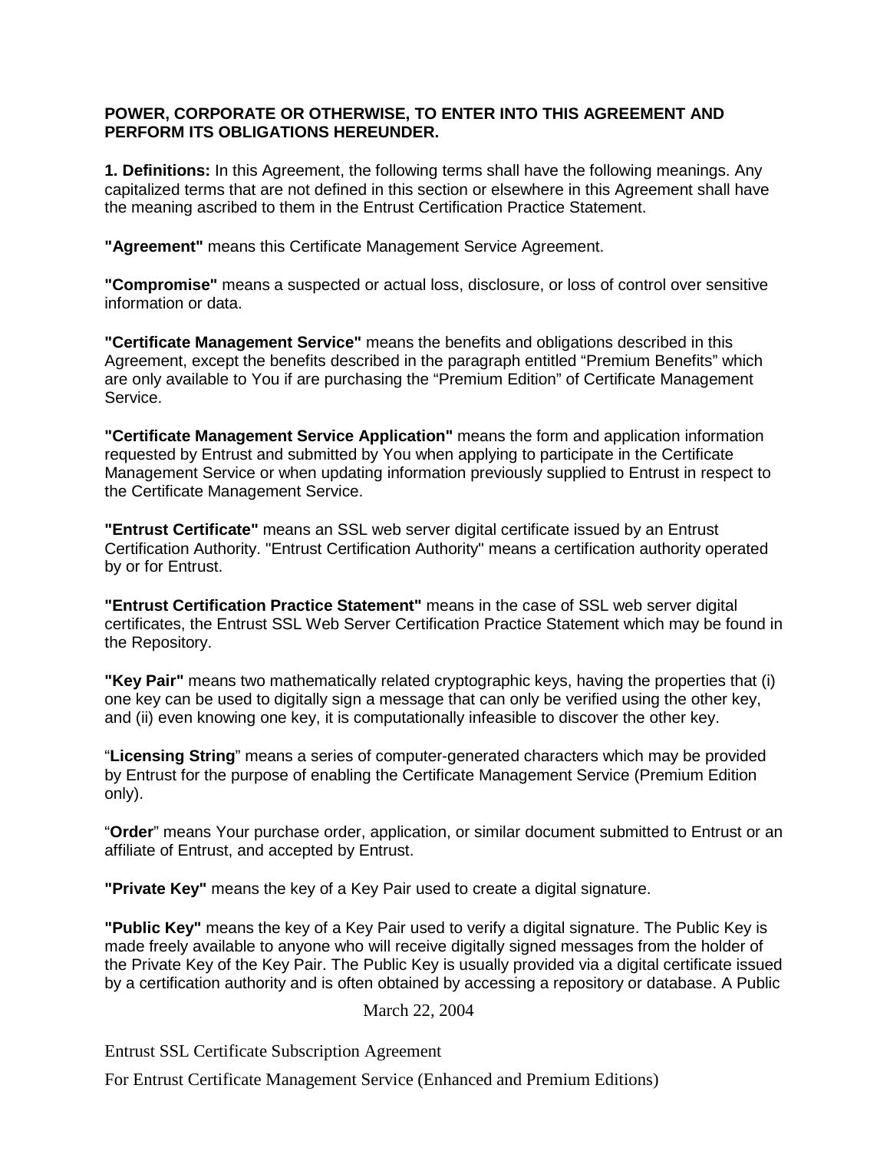## **POWER, CORPORATE OR OTHERWISE, TO ENTER INTO THIS AGREEMENT AND PERFORM ITS OBLIGATIONS HEREUNDER.**

**1. Definitions:** In this Agreement, the following terms shall have the following meanings. Any capitalized terms that are not defined in this section or elsewhere in this Agreement shall have the meaning ascribed to them in the Entrust Certification Practice Statement.

**"Agreement"** means this Certificate Management Service Agreement.

**"Compromise"** means a suspected or actual loss, disclosure, or loss of control over sensitive information or data.

**"Certificate Management Service"** means the benefits and obligations described in this Agreement, except the benefits described in the paragraph entitled "Premium Benefits" which are only available to You if are purchasing the "Premium Edition" of Certificate Management Service.

**"Certificate Management Service Application"** means the form and application information requested by Entrust and submitted by You when applying to participate in the Certificate Management Service or when updating information previously supplied to Entrust in respect to the Certificate Management Service.

**"Entrust Certificate"** means an SSL web server digital certificate issued by an Entrust Certification Authority. "Entrust Certification Authority" means a certification authority operated by or for Entrust.

**"Entrust Certification Practice Statement"** means in the case of SSL web server digital certificates, the Entrust SSL Web Server Certification Practice Statement which may be found in the Repository.

**"Key Pair"** means two mathematically related cryptographic keys, having the properties that (i) one key can be used to digitally sign a message that can only be verified using the other key, and (ii) even knowing one key, it is computationally infeasible to discover the other key.

"**Licensing String**" means a series of computer-generated characters which may be provided by Entrust for the purpose of enabling the Certificate Management Service (Premium Edition only).

"**Order**" means Your purchase order, application, or similar document submitted to Entrust or an affiliate of Entrust, and accepted by Entrust.

**"Private Key"** means the key of a Key Pair used to create a digital signature.

**"Public Key"** means the key of a Key Pair used to verify a digital signature. The Public Key is made freely available to anyone who will receive digitally signed messages from the holder of the Private Key of the Key Pair. The Public Key is usually provided via a digital certificate issued by a certification authority and is often obtained by accessing a repository or database. A Public

## March 22, 2004

Entrust SSL Certificate Subscription Agreement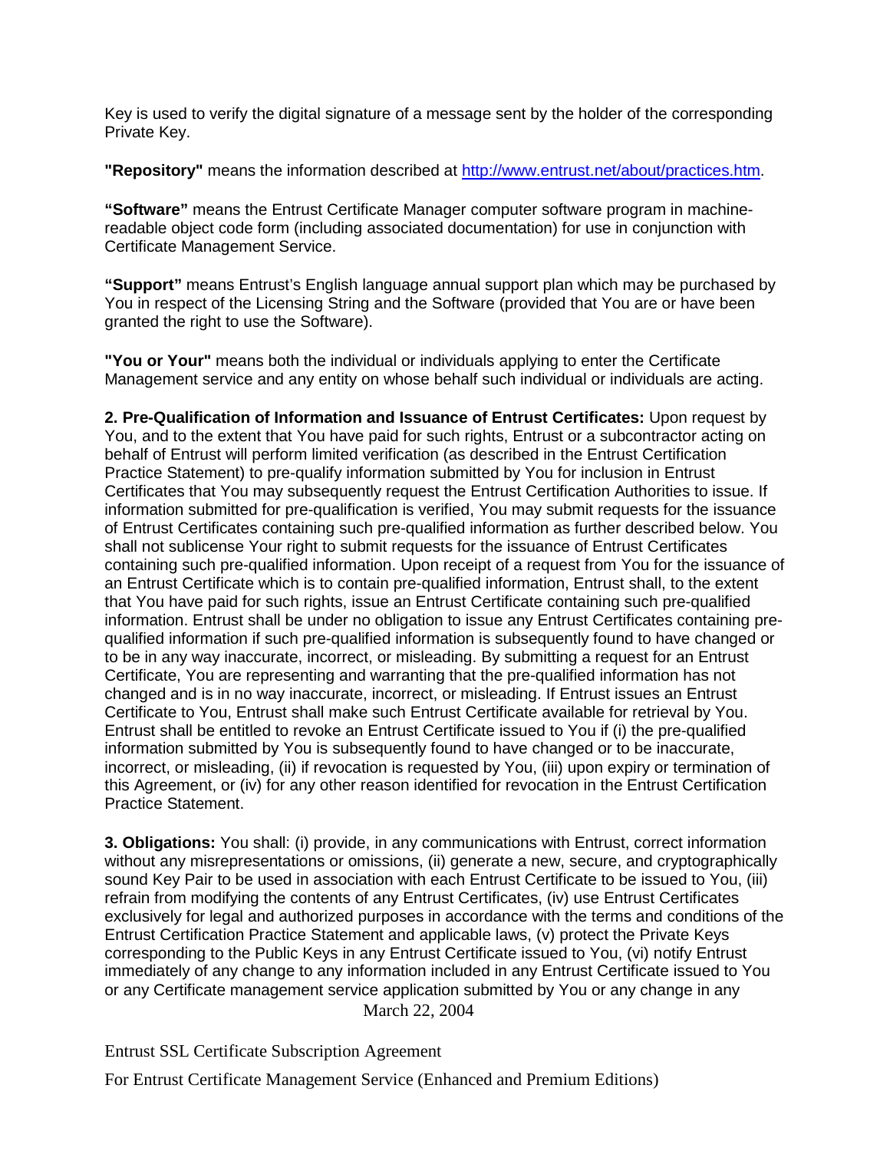Key is used to verify the digital signature of a message sent by the holder of the corresponding Private Key.

**"Repository"** means the information described at [http://www.entrust.net/about/practices.htm.](http://www.entrust.net/about/practices.htm)

**"Software"** means the Entrust Certificate Manager computer software program in machinereadable object code form (including associated documentation) for use in conjunction with Certificate Management Service.

**"Support"** means Entrust's English language annual support plan which may be purchased by You in respect of the Licensing String and the Software (provided that You are or have been granted the right to use the Software).

**"You or Your"** means both the individual or individuals applying to enter the Certificate Management service and any entity on whose behalf such individual or individuals are acting.

**2. Pre-Qualification of Information and Issuance of Entrust Certificates:** Upon request by You, and to the extent that You have paid for such rights, Entrust or a subcontractor acting on behalf of Entrust will perform limited verification (as described in the Entrust Certification Practice Statement) to pre-qualify information submitted by You for inclusion in Entrust Certificates that You may subsequently request the Entrust Certification Authorities to issue. If information submitted for pre-qualification is verified, You may submit requests for the issuance of Entrust Certificates containing such pre-qualified information as further described below. You shall not sublicense Your right to submit requests for the issuance of Entrust Certificates containing such pre-qualified information. Upon receipt of a request from You for the issuance of an Entrust Certificate which is to contain pre-qualified information, Entrust shall, to the extent that You have paid for such rights, issue an Entrust Certificate containing such pre-qualified information. Entrust shall be under no obligation to issue any Entrust Certificates containing prequalified information if such pre-qualified information is subsequently found to have changed or to be in any way inaccurate, incorrect, or misleading. By submitting a request for an Entrust Certificate, You are representing and warranting that the pre-qualified information has not changed and is in no way inaccurate, incorrect, or misleading. If Entrust issues an Entrust Certificate to You, Entrust shall make such Entrust Certificate available for retrieval by You. Entrust shall be entitled to revoke an Entrust Certificate issued to You if (i) the pre-qualified information submitted by You is subsequently found to have changed or to be inaccurate, incorrect, or misleading, (ii) if revocation is requested by You, (iii) upon expiry or termination of this Agreement, or (iv) for any other reason identified for revocation in the Entrust Certification Practice Statement.

 March 22, 2004 **3. Obligations:** You shall: (i) provide, in any communications with Entrust, correct information without any misrepresentations or omissions, (ii) generate a new, secure, and cryptographically sound Key Pair to be used in association with each Entrust Certificate to be issued to You, (iii) refrain from modifying the contents of any Entrust Certificates, (iv) use Entrust Certificates exclusively for legal and authorized purposes in accordance with the terms and conditions of the Entrust Certification Practice Statement and applicable laws, (v) protect the Private Keys corresponding to the Public Keys in any Entrust Certificate issued to You, (vi) notify Entrust immediately of any change to any information included in any Entrust Certificate issued to You or any Certificate management service application submitted by You or any change in any

Entrust SSL Certificate Subscription Agreement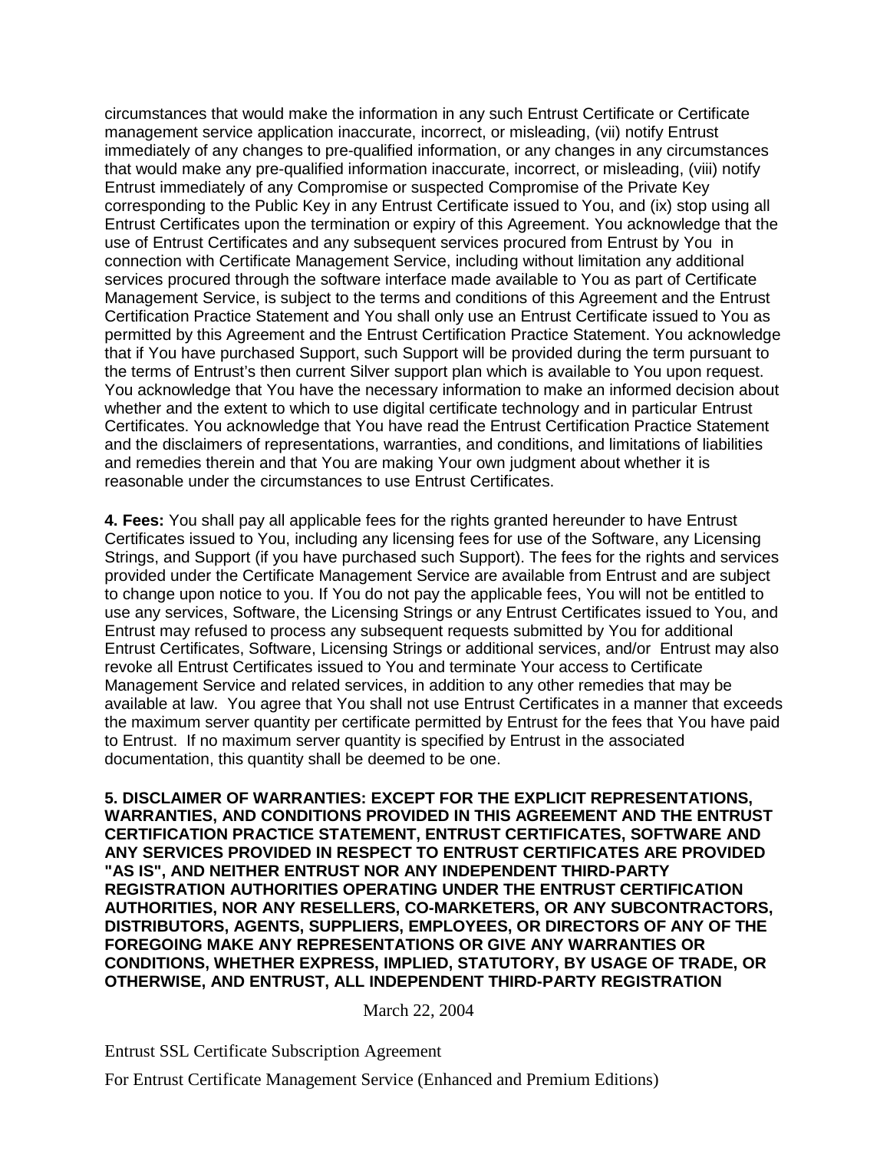circumstances that would make the information in any such Entrust Certificate or Certificate management service application inaccurate, incorrect, or misleading, (vii) notify Entrust immediately of any changes to pre-qualified information, or any changes in any circumstances that would make any pre-qualified information inaccurate, incorrect, or misleading, (viii) notify Entrust immediately of any Compromise or suspected Compromise of the Private Key corresponding to the Public Key in any Entrust Certificate issued to You, and (ix) stop using all Entrust Certificates upon the termination or expiry of this Agreement. You acknowledge that the use of Entrust Certificates and any subsequent services procured from Entrust by You in connection with Certificate Management Service, including without limitation any additional services procured through the software interface made available to You as part of Certificate Management Service, is subject to the terms and conditions of this Agreement and the Entrust Certification Practice Statement and You shall only use an Entrust Certificate issued to You as permitted by this Agreement and the Entrust Certification Practice Statement. You acknowledge that if You have purchased Support, such Support will be provided during the term pursuant to the terms of Entrust's then current Silver support plan which is available to You upon request. You acknowledge that You have the necessary information to make an informed decision about whether and the extent to which to use digital certificate technology and in particular Entrust Certificates. You acknowledge that You have read the Entrust Certification Practice Statement and the disclaimers of representations, warranties, and conditions, and limitations of liabilities and remedies therein and that You are making Your own judgment about whether it is reasonable under the circumstances to use Entrust Certificates.

**4. Fees:** You shall pay all applicable fees for the rights granted hereunder to have Entrust Certificates issued to You, including any licensing fees for use of the Software, any Licensing Strings, and Support (if you have purchased such Support). The fees for the rights and services provided under the Certificate Management Service are available from Entrust and are subject to change upon notice to you. If You do not pay the applicable fees, You will not be entitled to use any services, Software, the Licensing Strings or any Entrust Certificates issued to You, and Entrust may refused to process any subsequent requests submitted by You for additional Entrust Certificates, Software, Licensing Strings or additional services, and/or Entrust may also revoke all Entrust Certificates issued to You and terminate Your access to Certificate Management Service and related services, in addition to any other remedies that may be available at law. You agree that You shall not use Entrust Certificates in a manner that exceeds the maximum server quantity per certificate permitted by Entrust for the fees that You have paid to Entrust. If no maximum server quantity is specified by Entrust in the associated documentation, this quantity shall be deemed to be one.

**5. DISCLAIMER OF WARRANTIES: EXCEPT FOR THE EXPLICIT REPRESENTATIONS, WARRANTIES, AND CONDITIONS PROVIDED IN THIS AGREEMENT AND THE ENTRUST CERTIFICATION PRACTICE STATEMENT, ENTRUST CERTIFICATES, SOFTWARE AND ANY SERVICES PROVIDED IN RESPECT TO ENTRUST CERTIFICATES ARE PROVIDED "AS IS", AND NEITHER ENTRUST NOR ANY INDEPENDENT THIRD-PARTY REGISTRATION AUTHORITIES OPERATING UNDER THE ENTRUST CERTIFICATION AUTHORITIES, NOR ANY RESELLERS, CO-MARKETERS, OR ANY SUBCONTRACTORS, DISTRIBUTORS, AGENTS, SUPPLIERS, EMPLOYEES, OR DIRECTORS OF ANY OF THE FOREGOING MAKE ANY REPRESENTATIONS OR GIVE ANY WARRANTIES OR CONDITIONS, WHETHER EXPRESS, IMPLIED, STATUTORY, BY USAGE OF TRADE, OR OTHERWISE, AND ENTRUST, ALL INDEPENDENT THIRD-PARTY REGISTRATION** 

March 22, 2004

Entrust SSL Certificate Subscription Agreement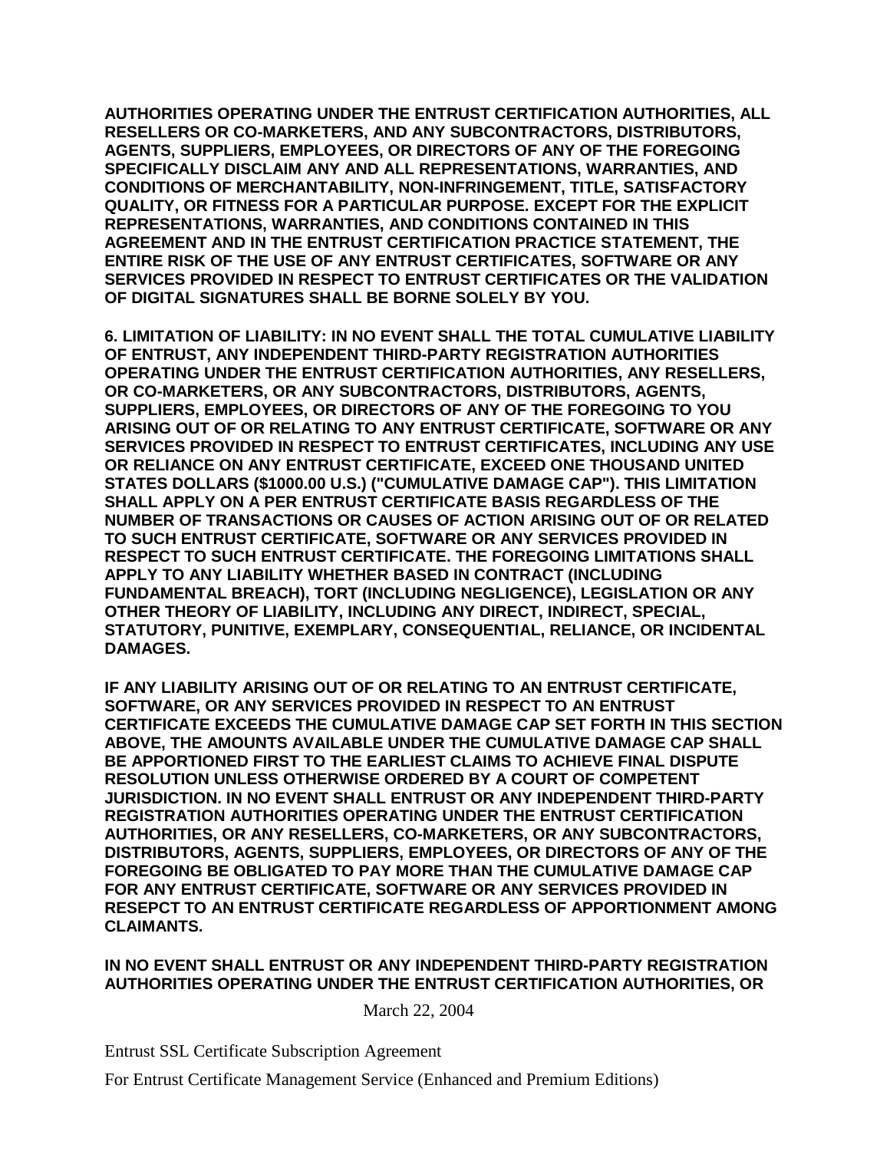**AUTHORITIES OPERATING UNDER THE ENTRUST CERTIFICATION AUTHORITIES, ALL RESELLERS OR CO-MARKETERS, AND ANY SUBCONTRACTORS, DISTRIBUTORS, AGENTS, SUPPLIERS, EMPLOYEES, OR DIRECTORS OF ANY OF THE FOREGOING SPECIFICALLY DISCLAIM ANY AND ALL REPRESENTATIONS, WARRANTIES, AND CONDITIONS OF MERCHANTABILITY, NON-INFRINGEMENT, TITLE, SATISFACTORY QUALITY, OR FITNESS FOR A PARTICULAR PURPOSE. EXCEPT FOR THE EXPLICIT REPRESENTATIONS, WARRANTIES, AND CONDITIONS CONTAINED IN THIS AGREEMENT AND IN THE ENTRUST CERTIFICATION PRACTICE STATEMENT, THE ENTIRE RISK OF THE USE OF ANY ENTRUST CERTIFICATES, SOFTWARE OR ANY SERVICES PROVIDED IN RESPECT TO ENTRUST CERTIFICATES OR THE VALIDATION OF DIGITAL SIGNATURES SHALL BE BORNE SOLELY BY YOU.** 

**6. LIMITATION OF LIABILITY: IN NO EVENT SHALL THE TOTAL CUMULATIVE LIABILITY OF ENTRUST, ANY INDEPENDENT THIRD-PARTY REGISTRATION AUTHORITIES OPERATING UNDER THE ENTRUST CERTIFICATION AUTHORITIES, ANY RESELLERS, OR CO-MARKETERS, OR ANY SUBCONTRACTORS, DISTRIBUTORS, AGENTS, SUPPLIERS, EMPLOYEES, OR DIRECTORS OF ANY OF THE FOREGOING TO YOU ARISING OUT OF OR RELATING TO ANY ENTRUST CERTIFICATE, SOFTWARE OR ANY SERVICES PROVIDED IN RESPECT TO ENTRUST CERTIFICATES, INCLUDING ANY USE OR RELIANCE ON ANY ENTRUST CERTIFICATE, EXCEED ONE THOUSAND UNITED STATES DOLLARS (\$1000.00 U.S.) ("CUMULATIVE DAMAGE CAP"). THIS LIMITATION SHALL APPLY ON A PER ENTRUST CERTIFICATE BASIS REGARDLESS OF THE NUMBER OF TRANSACTIONS OR CAUSES OF ACTION ARISING OUT OF OR RELATED TO SUCH ENTRUST CERTIFICATE, SOFTWARE OR ANY SERVICES PROVIDED IN RESPECT TO SUCH ENTRUST CERTIFICATE. THE FOREGOING LIMITATIONS SHALL APPLY TO ANY LIABILITY WHETHER BASED IN CONTRACT (INCLUDING FUNDAMENTAL BREACH), TORT (INCLUDING NEGLIGENCE), LEGISLATION OR ANY OTHER THEORY OF LIABILITY, INCLUDING ANY DIRECT, INDIRECT, SPECIAL, STATUTORY, PUNITIVE, EXEMPLARY, CONSEQUENTIAL, RELIANCE, OR INCIDENTAL DAMAGES.** 

**IF ANY LIABILITY ARISING OUT OF OR RELATING TO AN ENTRUST CERTIFICATE, SOFTWARE, OR ANY SERVICES PROVIDED IN RESPECT TO AN ENTRUST CERTIFICATE EXCEEDS THE CUMULATIVE DAMAGE CAP SET FORTH IN THIS SECTION ABOVE, THE AMOUNTS AVAILABLE UNDER THE CUMULATIVE DAMAGE CAP SHALL BE APPORTIONED FIRST TO THE EARLIEST CLAIMS TO ACHIEVE FINAL DISPUTE RESOLUTION UNLESS OTHERWISE ORDERED BY A COURT OF COMPETENT JURISDICTION. IN NO EVENT SHALL ENTRUST OR ANY INDEPENDENT THIRD-PARTY REGISTRATION AUTHORITIES OPERATING UNDER THE ENTRUST CERTIFICATION AUTHORITIES, OR ANY RESELLERS, CO-MARKETERS, OR ANY SUBCONTRACTORS, DISTRIBUTORS, AGENTS, SUPPLIERS, EMPLOYEES, OR DIRECTORS OF ANY OF THE FOREGOING BE OBLIGATED TO PAY MORE THAN THE CUMULATIVE DAMAGE CAP FOR ANY ENTRUST CERTIFICATE, SOFTWARE OR ANY SERVICES PROVIDED IN RESEPCT TO AN ENTRUST CERTIFICATE REGARDLESS OF APPORTIONMENT AMONG CLAIMANTS.** 

**IN NO EVENT SHALL ENTRUST OR ANY INDEPENDENT THIRD-PARTY REGISTRATION AUTHORITIES OPERATING UNDER THE ENTRUST CERTIFICATION AUTHORITIES, OR** 

March 22, 2004

Entrust SSL Certificate Subscription Agreement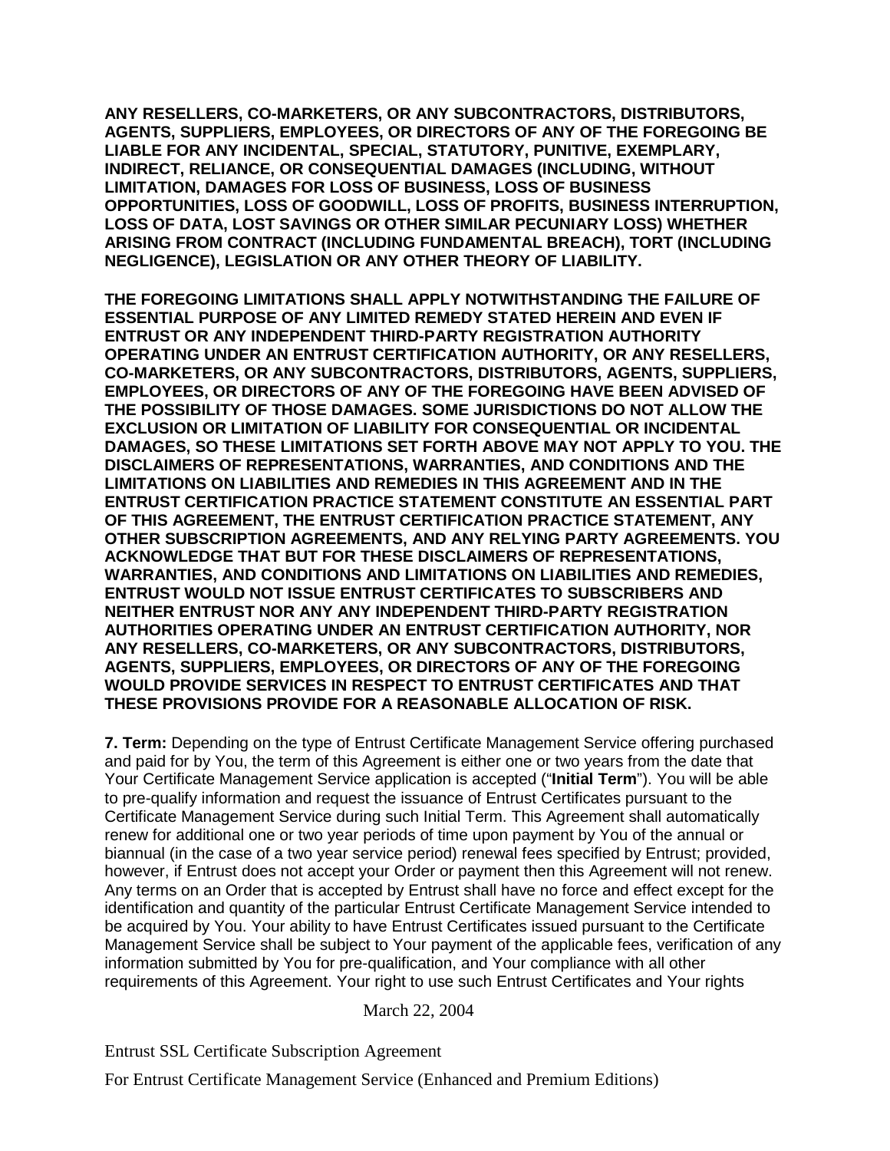**ANY RESELLERS, CO-MARKETERS, OR ANY SUBCONTRACTORS, DISTRIBUTORS, AGENTS, SUPPLIERS, EMPLOYEES, OR DIRECTORS OF ANY OF THE FOREGOING BE LIABLE FOR ANY INCIDENTAL, SPECIAL, STATUTORY, PUNITIVE, EXEMPLARY, INDIRECT, RELIANCE, OR CONSEQUENTIAL DAMAGES (INCLUDING, WITHOUT LIMITATION, DAMAGES FOR LOSS OF BUSINESS, LOSS OF BUSINESS OPPORTUNITIES, LOSS OF GOODWILL, LOSS OF PROFITS, BUSINESS INTERRUPTION, LOSS OF DATA, LOST SAVINGS OR OTHER SIMILAR PECUNIARY LOSS) WHETHER ARISING FROM CONTRACT (INCLUDING FUNDAMENTAL BREACH), TORT (INCLUDING NEGLIGENCE), LEGISLATION OR ANY OTHER THEORY OF LIABILITY.** 

**THE FOREGOING LIMITATIONS SHALL APPLY NOTWITHSTANDING THE FAILURE OF ESSENTIAL PURPOSE OF ANY LIMITED REMEDY STATED HEREIN AND EVEN IF ENTRUST OR ANY INDEPENDENT THIRD-PARTY REGISTRATION AUTHORITY OPERATING UNDER AN ENTRUST CERTIFICATION AUTHORITY, OR ANY RESELLERS, CO-MARKETERS, OR ANY SUBCONTRACTORS, DISTRIBUTORS, AGENTS, SUPPLIERS, EMPLOYEES, OR DIRECTORS OF ANY OF THE FOREGOING HAVE BEEN ADVISED OF THE POSSIBILITY OF THOSE DAMAGES. SOME JURISDICTIONS DO NOT ALLOW THE EXCLUSION OR LIMITATION OF LIABILITY FOR CONSEQUENTIAL OR INCIDENTAL DAMAGES, SO THESE LIMITATIONS SET FORTH ABOVE MAY NOT APPLY TO YOU. THE DISCLAIMERS OF REPRESENTATIONS, WARRANTIES, AND CONDITIONS AND THE LIMITATIONS ON LIABILITIES AND REMEDIES IN THIS AGREEMENT AND IN THE ENTRUST CERTIFICATION PRACTICE STATEMENT CONSTITUTE AN ESSENTIAL PART OF THIS AGREEMENT, THE ENTRUST CERTIFICATION PRACTICE STATEMENT, ANY OTHER SUBSCRIPTION AGREEMENTS, AND ANY RELYING PARTY AGREEMENTS. YOU ACKNOWLEDGE THAT BUT FOR THESE DISCLAIMERS OF REPRESENTATIONS, WARRANTIES, AND CONDITIONS AND LIMITATIONS ON LIABILITIES AND REMEDIES, ENTRUST WOULD NOT ISSUE ENTRUST CERTIFICATES TO SUBSCRIBERS AND NEITHER ENTRUST NOR ANY ANY INDEPENDENT THIRD-PARTY REGISTRATION AUTHORITIES OPERATING UNDER AN ENTRUST CERTIFICATION AUTHORITY, NOR ANY RESELLERS, CO-MARKETERS, OR ANY SUBCONTRACTORS, DISTRIBUTORS, AGENTS, SUPPLIERS, EMPLOYEES, OR DIRECTORS OF ANY OF THE FOREGOING WOULD PROVIDE SERVICES IN RESPECT TO ENTRUST CERTIFICATES AND THAT THESE PROVISIONS PROVIDE FOR A REASONABLE ALLOCATION OF RISK.**

**7. Term:** Depending on the type of Entrust Certificate Management Service offering purchased and paid for by You, the term of this Agreement is either one or two years from the date that Your Certificate Management Service application is accepted ("**Initial Term**"). You will be able to pre-qualify information and request the issuance of Entrust Certificates pursuant to the Certificate Management Service during such Initial Term. This Agreement shall automatically renew for additional one or two year periods of time upon payment by You of the annual or biannual (in the case of a two year service period) renewal fees specified by Entrust; provided, however, if Entrust does not accept your Order or payment then this Agreement will not renew. Any terms on an Order that is accepted by Entrust shall have no force and effect except for the identification and quantity of the particular Entrust Certificate Management Service intended to be acquired by You. Your ability to have Entrust Certificates issued pursuant to the Certificate Management Service shall be subject to Your payment of the applicable fees, verification of any information submitted by You for pre-qualification, and Your compliance with all other requirements of this Agreement. Your right to use such Entrust Certificates and Your rights

March 22, 2004

Entrust SSL Certificate Subscription Agreement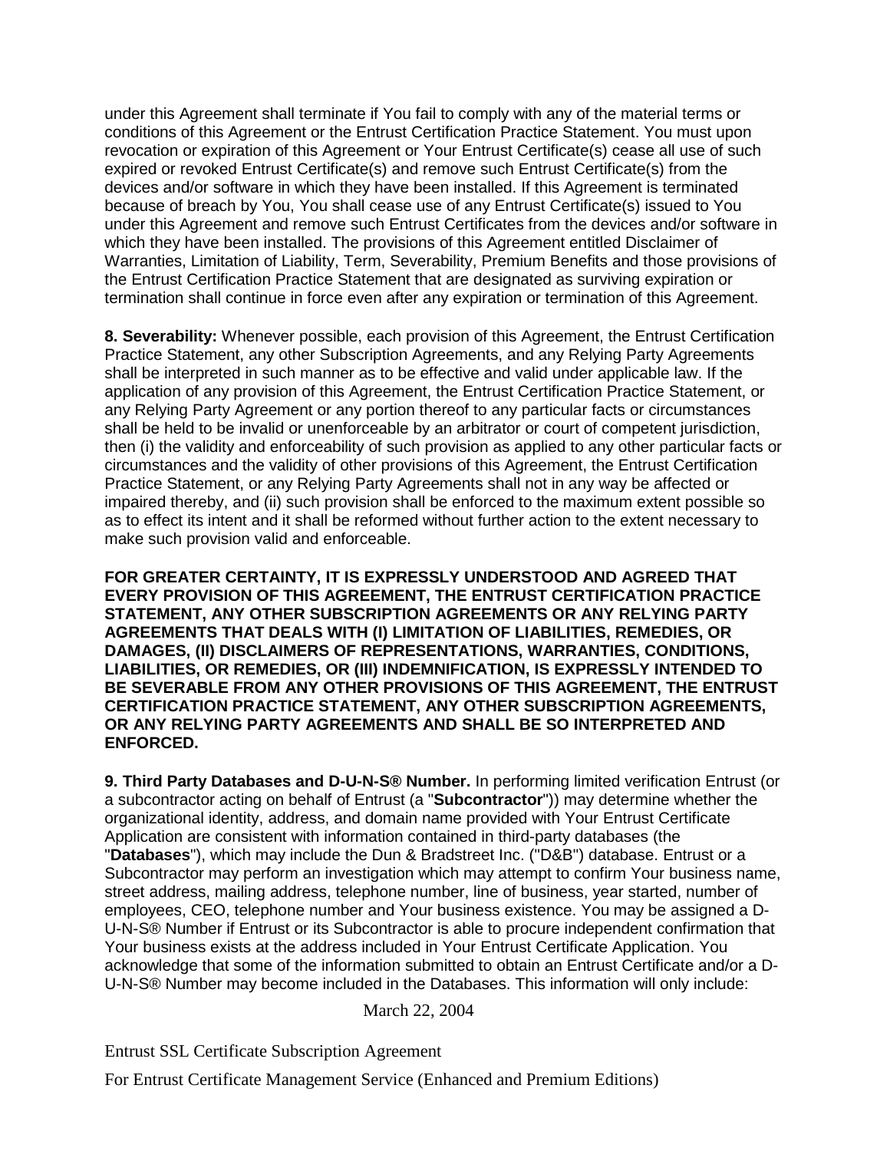under this Agreement shall terminate if You fail to comply with any of the material terms or conditions of this Agreement or the Entrust Certification Practice Statement. You must upon revocation or expiration of this Agreement or Your Entrust Certificate(s) cease all use of such expired or revoked Entrust Certificate(s) and remove such Entrust Certificate(s) from the devices and/or software in which they have been installed. If this Agreement is terminated because of breach by You, You shall cease use of any Entrust Certificate(s) issued to You under this Agreement and remove such Entrust Certificates from the devices and/or software in which they have been installed. The provisions of this Agreement entitled Disclaimer of Warranties, Limitation of Liability, Term, Severability, Premium Benefits and those provisions of the Entrust Certification Practice Statement that are designated as surviving expiration or termination shall continue in force even after any expiration or termination of this Agreement.

**8. Severability:** Whenever possible, each provision of this Agreement, the Entrust Certification Practice Statement, any other Subscription Agreements, and any Relying Party Agreements shall be interpreted in such manner as to be effective and valid under applicable law. If the application of any provision of this Agreement, the Entrust Certification Practice Statement, or any Relying Party Agreement or any portion thereof to any particular facts or circumstances shall be held to be invalid or unenforceable by an arbitrator or court of competent jurisdiction, then (i) the validity and enforceability of such provision as applied to any other particular facts or circumstances and the validity of other provisions of this Agreement, the Entrust Certification Practice Statement, or any Relying Party Agreements shall not in any way be affected or impaired thereby, and (ii) such provision shall be enforced to the maximum extent possible so as to effect its intent and it shall be reformed without further action to the extent necessary to make such provision valid and enforceable.

**FOR GREATER CERTAINTY, IT IS EXPRESSLY UNDERSTOOD AND AGREED THAT EVERY PROVISION OF THIS AGREEMENT, THE ENTRUST CERTIFICATION PRACTICE STATEMENT, ANY OTHER SUBSCRIPTION AGREEMENTS OR ANY RELYING PARTY AGREEMENTS THAT DEALS WITH (I) LIMITATION OF LIABILITIES, REMEDIES, OR DAMAGES, (II) DISCLAIMERS OF REPRESENTATIONS, WARRANTIES, CONDITIONS, LIABILITIES, OR REMEDIES, OR (III) INDEMNIFICATION, IS EXPRESSLY INTENDED TO BE SEVERABLE FROM ANY OTHER PROVISIONS OF THIS AGREEMENT, THE ENTRUST CERTIFICATION PRACTICE STATEMENT, ANY OTHER SUBSCRIPTION AGREEMENTS, OR ANY RELYING PARTY AGREEMENTS AND SHALL BE SO INTERPRETED AND ENFORCED.**

**9. Third Party Databases and D-U-N-S® Number.** In performing limited verification Entrust (or a subcontractor acting on behalf of Entrust (a "**Subcontractor**")) may determine whether the organizational identity, address, and domain name provided with Your Entrust Certificate Application are consistent with information contained in third-party databases (the "**Databases**"), which may include the Dun & Bradstreet Inc. ("D&B") database. Entrust or a Subcontractor may perform an investigation which may attempt to confirm Your business name, street address, mailing address, telephone number, line of business, year started, number of employees, CEO, telephone number and Your business existence. You may be assigned a D-U-N-S® Number if Entrust or its Subcontractor is able to procure independent confirmation that Your business exists at the address included in Your Entrust Certificate Application. You acknowledge that some of the information submitted to obtain an Entrust Certificate and/or a D-U-N-S® Number may become included in the Databases. This information will only include:

March 22, 2004

Entrust SSL Certificate Subscription Agreement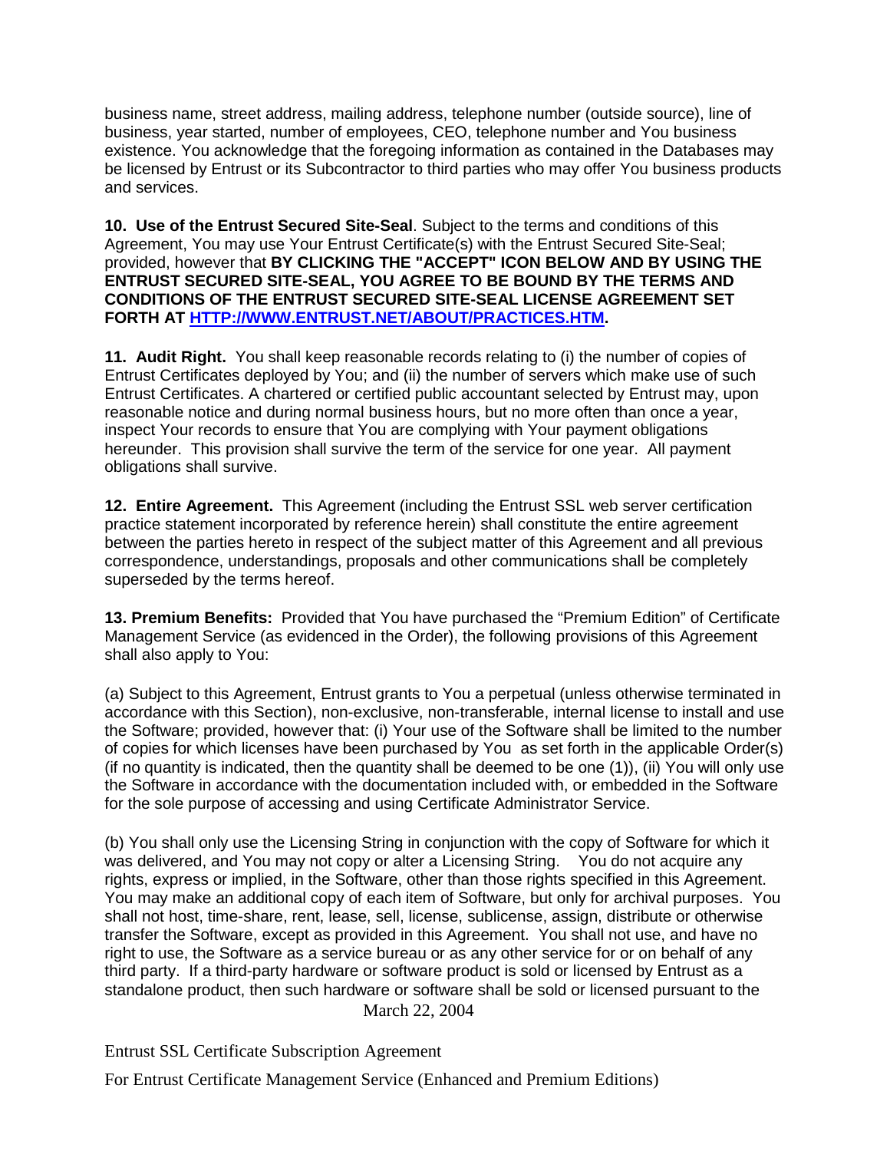business name, street address, mailing address, telephone number (outside source), line of business, year started, number of employees, CEO, telephone number and You business existence. You acknowledge that the foregoing information as contained in the Databases may be licensed by Entrust or its Subcontractor to third parties who may offer You business products and services.

**10. Use of the Entrust Secured Site-Seal**. Subject to the terms and conditions of this Agreement, You may use Your Entrust Certificate(s) with the Entrust Secured Site-Seal; provided, however that **BY CLICKING THE "ACCEPT" ICON BELOW AND BY USING THE ENTRUST SECURED SITE-SEAL, YOU AGREE TO BE BOUND BY THE TERMS AND CONDITIONS OF THE ENTRUST SECURED SITE-SEAL LICENSE AGREEMENT SET FORTH AT [HTTP://WWW.ENTRUST.NET/ABOUT/PRACTICES.HTM.](http://www.entrust.net/ABOUT/PRACTICES.HTM)** 

**11. Audit Right.** You shall keep reasonable records relating to (i) the number of copies of Entrust Certificates deployed by You; and (ii) the number of servers which make use of such Entrust Certificates. A chartered or certified public accountant selected by Entrust may, upon reasonable notice and during normal business hours, but no more often than once a year, inspect Your records to ensure that You are complying with Your payment obligations hereunder. This provision shall survive the term of the service for one year. All payment obligations shall survive.

**12. Entire Agreement.** This Agreement (including the Entrust SSL web server certification practice statement incorporated by reference herein) shall constitute the entire agreement between the parties hereto in respect of the subject matter of this Agreement and all previous correspondence, understandings, proposals and other communications shall be completely superseded by the terms hereof.

**13. Premium Benefits:** Provided that You have purchased the "Premium Edition" of Certificate Management Service (as evidenced in the Order), the following provisions of this Agreement shall also apply to You:

(a) Subject to this Agreement, Entrust grants to You a perpetual (unless otherwise terminated in accordance with this Section), non-exclusive, non-transferable, internal license to install and use the Software; provided, however that: (i) Your use of the Software shall be limited to the number of copies for which licenses have been purchased by You as set forth in the applicable Order(s) (if no quantity is indicated, then the quantity shall be deemed to be one (1)), (ii) You will only use the Software in accordance with the documentation included with, or embedded in the Software for the sole purpose of accessing and using Certificate Administrator Service.

 March 22, 2004 (b) You shall only use the Licensing String in conjunction with the copy of Software for which it was delivered, and You may not copy or alter a Licensing String. You do not acquire any rights, express or implied, in the Software, other than those rights specified in this Agreement. You may make an additional copy of each item of Software, but only for archival purposes. You shall not host, time-share, rent, lease, sell, license, sublicense, assign, distribute or otherwise transfer the Software, except as provided in this Agreement. You shall not use, and have no right to use, the Software as a service bureau or as any other service for or on behalf of any third party. If a third-party hardware or software product is sold or licensed by Entrust as a standalone product, then such hardware or software shall be sold or licensed pursuant to the

Entrust SSL Certificate Subscription Agreement